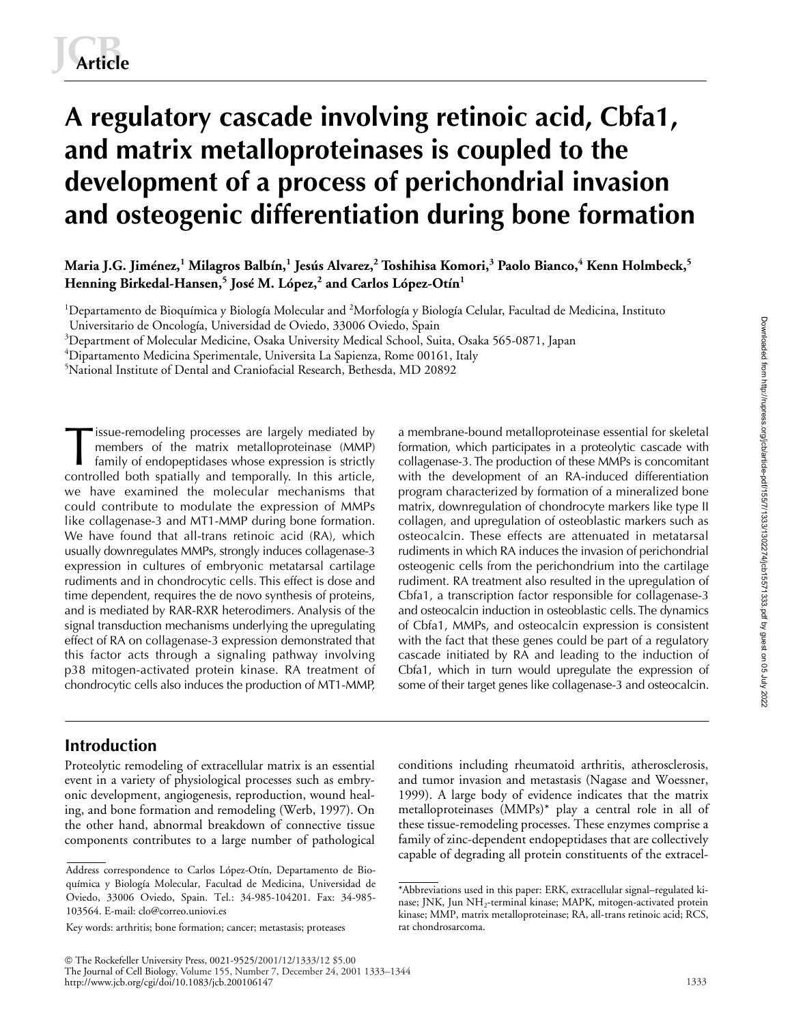# **A regulatory cascade involving retinoic acid, Cbfa1, and matrix metalloproteinases is coupled to the development of a process of perichondrial invasion and osteogenic differentiation during bone formation**

# **Maria J.G. Jiménez,<sup>1</sup> Milagros Balbín,<sup>1</sup> Jesús Alvarez,<sup>2</sup> Toshihisa Komori,<sup>3</sup> Paolo Bianco,<sup>4</sup> Kenn Holmbeck,<sup>5</sup> Henning Birkedal-Hansen,<sup>5</sup> José M. López,<sup>2</sup> and Carlos López-Otín<sup>1</sup>**

 $^1$ Departamento de Bioquímica y Biología Molecular and  $^2$ Morfología y Biología Celular, Facultad de Medicina, Instituto

 $^3$ Department of Molecular Medicine, Osaka University Medical School, Suita, Osaka 565-0871, Japan

 $^4$ Dipartamento Medicina Sperimentale, Universita La Sapienza, Rome 00161, Italy

5 National Institute of Dental and Craniofacial Research, Bethesda, MD 20892

issue-remodeling processes are largely mediated by members of the matrix metalloproteinase (MMP) family of endopeptidases whose expression is strictly controlled both spatially and temporally. In this article, we have examined the molecular mechanisms that could contribute to modulate the expression of MMPs like collagenase-3 and MT1-MMP during bone formation. We have found that all-trans retinoic acid (RA), which usually downregulates MMPs, strongly induces collagenase-3 expression in cultures of embryonic metatarsal cartilage rudiments and in chondrocytic cells. This effect is dose and time dependent, requires the de novo synthesis of proteins, and is mediated by RAR-RXR heterodimers. Analysis of the signal transduction mechanisms underlying the upregulating effect of RA on collagenase-3 expression demonstrated that this factor acts through a signaling pathway involving p38 mitogen-activated protein kinase. RA treatment of chondrocytic cells also induces the production of MT1-MMP, The members of the matrix metalloproteinase (MMP) a membrane-bound metalloproteinase essential for skeletal<br>
family of endopeptidases whose expression is strictly<br>
collagenase-3. The production of these MMPs is concomitant

formation, which participates in a proteolytic cascade with with the development of an RA-induced differentiation program characterized by formation of a mineralized bone matrix, downregulation of chondrocyte markers like type II collagen, and upregulation of osteoblastic markers such as osteocalcin. These effects are attenuated in metatarsal rudiments in which RA induces the invasion of perichondrial osteogenic cells from the perichondrium into the cartilage rudiment. RA treatment also resulted in the upregulation of Cbfa1, a transcription factor responsible for collagenase-3 and osteocalcin induction in osteoblastic cells. The dynamics of Cbfa1, MMPs, and osteocalcin expression is consistent with the fact that these genes could be part of a regulatory cascade initiated by RA and leading to the induction of Cbfa1, which in turn would upregulate the expression of some of their target genes like collagenase-3 and osteocalcin.

# **Introduction**

Proteolytic remodeling of extracellular matrix is an essential event in a variety of physiological processes such as embryonic development, angiogenesis, reproduction, wound healing, and bone formation and remodeling (Werb, 1997). On the other hand, abnormal breakdown of connective tissue components contributes to a large number of pathological

conditions including rheumatoid arthritis, atherosclerosis, and tumor invasion and metastasis (Nagase and Woessner, 1999). A large body of evidence indicates that the matrix metalloproteinases (MMPs)\* play a central role in all of these tissue-remodeling processes. These enzymes comprise a family of zinc-dependent endopeptidases that are collectively capable of degrading all protein constituents of the extracel-

Universitario de Oncología, Universidad de Oviedo, 33006 Oviedo, Spain

Address correspondence to Carlos López-Otín, Departamento de Bioquímica y Biología Molecular, Facultad de Medicina, Universidad de Oviedo, 33006 Oviedo, Spain. Tel.: 34-985-104201. Fax: 34-985- 103564. E-mail: clo@correo.uniovi.es

Key words: arthritis; bone formation; cancer; metastasis; proteases

<sup>\*</sup>Abbreviations used in this paper: ERK, extracellular signal–regulated kinase; JNK, Jun NH2-terminal kinase; MAPK, mitogen-activated protein kinase; MMP, matrix metalloproteinase; RA, all-trans retinoic acid; RCS, rat chondrosarcoma.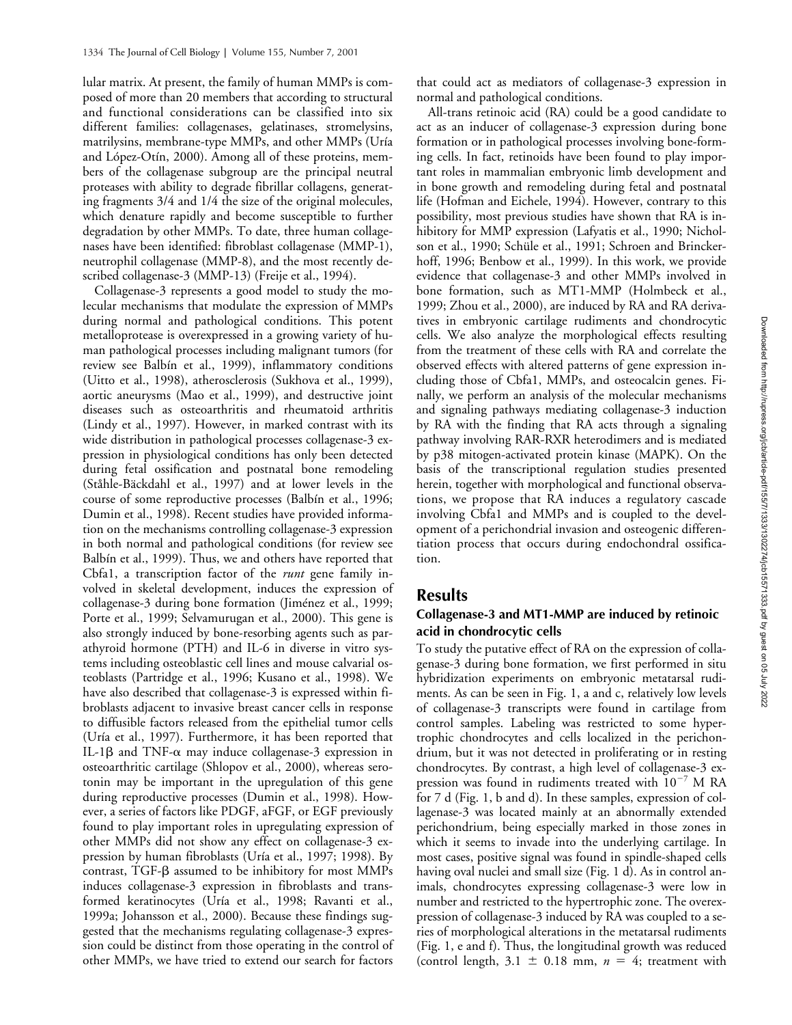lular matrix. At present, the family of human MMPs is composed of more than 20 members that according to structural and functional considerations can be classified into six different families: collagenases, gelatinases, stromelysins, matrilysins, membrane-type MMPs, and other MMPs (Uría and López-Otín, 2000). Among all of these proteins, members of the collagenase subgroup are the principal neutral proteases with ability to degrade fibrillar collagens, generating fragments 3/4 and 1/4 the size of the original molecules, which denature rapidly and become susceptible to further degradation by other MMPs. To date, three human collagenases have been identified: fibroblast collagenase (MMP-1), neutrophil collagenase (MMP-8), and the most recently described collagenase-3 (MMP-13) (Freije et al., 1994).

Collagenase-3 represents a good model to study the molecular mechanisms that modulate the expression of MMPs during normal and pathological conditions. This potent metalloprotease is overexpressed in a growing variety of human pathological processes including malignant tumors (for review see Balbín et al., 1999), inflammatory conditions (Uitto et al., 1998), atherosclerosis (Sukhova et al., 1999), aortic aneurysms (Mao et al., 1999), and destructive joint diseases such as osteoarthritis and rheumatoid arthritis (Lindy et al., 1997). However, in marked contrast with its wide distribution in pathological processes collagenase-3 expression in physiological conditions has only been detected during fetal ossification and postnatal bone remodeling (Ståhle-Bäckdahl et al., 1997) and at lower levels in the course of some reproductive processes (Balbín et al., 1996; Dumin et al., 1998). Recent studies have provided information on the mechanisms controlling collagenase-3 expression in both normal and pathological conditions (for review see Balbín et al., 1999). Thus, we and others have reported that Cbfa1, a transcription factor of the *runt* gene family involved in skeletal development, induces the expression of collagenase-3 during bone formation (Jiménez et al., 1999; Porte et al., 1999; Selvamurugan et al., 2000). This gene is also strongly induced by bone-resorbing agents such as parathyroid hormone (PTH) and IL-6 in diverse in vitro systems including osteoblastic cell lines and mouse calvarial osteoblasts (Partridge et al., 1996; Kusano et al., 1998). We have also described that collagenase-3 is expressed within fibroblasts adjacent to invasive breast cancer cells in response to diffusible factors released from the epithelial tumor cells (Uría et al., 1997). Furthermore, it has been reported that IL-1 $\beta$  and TNF- $\alpha$  may induce collagenase-3 expression in osteoarthritic cartilage (Shlopov et al., 2000), whereas serotonin may be important in the upregulation of this gene during reproductive processes (Dumin et al., 1998). However, a series of factors like PDGF, aFGF, or EGF previously found to play important roles in upregulating expression of other MMPs did not show any effect on collagenase-3 expression by human fibroblasts (Uría et al., 1997; 1998). By contrast, TGF- $\beta$  assumed to be inhibitory for most MMPs induces collagenase-3 expression in fibroblasts and transformed keratinocytes (Uría et al., 1998; Ravanti et al., 1999a; Johansson et al., 2000). Because these findings suggested that the mechanisms regulating collagenase-3 expression could be distinct from those operating in the control of other MMPs, we have tried to extend our search for factors

that could act as mediators of collagenase-3 expression in normal and pathological conditions.

All-trans retinoic acid (RA) could be a good candidate to act as an inducer of collagenase-3 expression during bone formation or in pathological processes involving bone-forming cells. In fact, retinoids have been found to play important roles in mammalian embryonic limb development and in bone growth and remodeling during fetal and postnatal life (Hofman and Eichele, 1994). However, contrary to this possibility, most previous studies have shown that RA is inhibitory for MMP expression (Lafyatis et al., 1990; Nicholson et al., 1990; Schüle et al., 1991; Schroen and Brinckerhoff, 1996; Benbow et al., 1999). In this work, we provide evidence that collagenase-3 and other MMPs involved in bone formation, such as MT1-MMP (Holmbeck et al., 1999; Zhou et al., 2000), are induced by RA and RA derivatives in embryonic cartilage rudiments and chondrocytic cells. We also analyze the morphological effects resulting from the treatment of these cells with RA and correlate the observed effects with altered patterns of gene expression including those of Cbfa1, MMPs, and osteocalcin genes. Finally, we perform an analysis of the molecular mechanisms and signaling pathways mediating collagenase-3 induction by RA with the finding that RA acts through a signaling pathway involving RAR-RXR heterodimers and is mediated by p38 mitogen-activated protein kinase (MAPK). On the basis of the transcriptional regulation studies presented herein, together with morphological and functional observations, we propose that RA induces a regulatory cascade involving Cbfa1 and MMPs and is coupled to the development of a perichondrial invasion and osteogenic differentiation process that occurs during endochondral ossification.

# **Results**

# **Collagenase-3 and MT1-MMP are induced by retinoic acid in chondrocytic cells**

To study the putative effect of RA on the expression of collagenase-3 during bone formation, we first performed in situ hybridization experiments on embryonic metatarsal rudiments. As can be seen in Fig. 1, a and c, relatively low levels of collagenase-3 transcripts were found in cartilage from control samples. Labeling was restricted to some hypertrophic chondrocytes and cells localized in the perichondrium, but it was not detected in proliferating or in resting chondrocytes. By contrast, a high level of collagenase-3 expression was found in rudiments treated with  $10^{-7}$  M RA for 7 d (Fig. 1, b and d). In these samples, expression of collagenase-3 was located mainly at an abnormally extended perichondrium, being especially marked in those zones in which it seems to invade into the underlying cartilage. In most cases, positive signal was found in spindle-shaped cells having oval nuclei and small size (Fig. 1 d). As in control animals, chondrocytes expressing collagenase-3 were low in number and restricted to the hypertrophic zone. The overexpression of collagenase-3 induced by RA was coupled to a series of morphological alterations in the metatarsal rudiments (Fig. 1, e and f). Thus, the longitudinal growth was reduced (control length,  $3.1 \pm 0.18$  mm,  $n = 4$ ; treatment with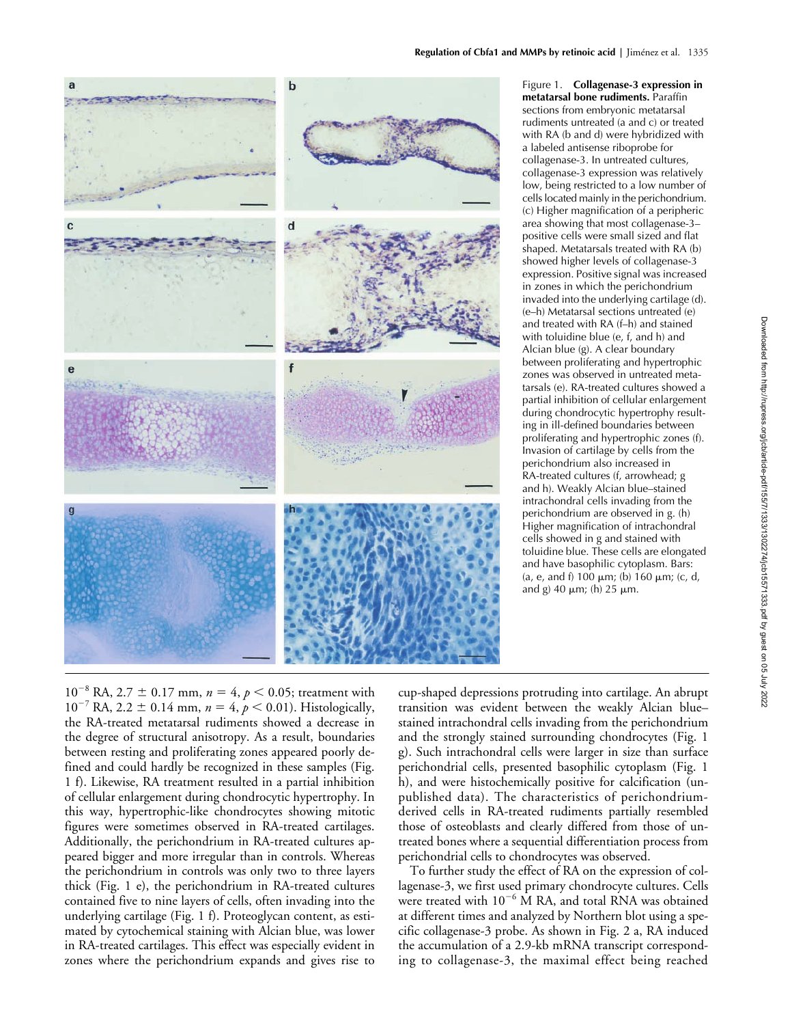

Figure 1. **Collagenase-3 expression in metatarsal bone rudiments.** Paraffin sections from embryonic metatarsal rudiments untreated (a and c) or treated with RA (b and d) were hybridized with a labeled antisense riboprobe for collagenase-3. In untreated cultures, collagenase-3 expression was relatively low, being restricted to a low number of cells located mainly in the perichondrium. (c) Higher magnification of a peripheric area showing that most collagenase-3– positive cells were small sized and flat shaped. Metatarsals treated with RA (b) showed higher levels of collagenase-3 expression. Positive signal was increased in zones in which the perichondrium invaded into the underlying cartilage (d). (e–h) Metatarsal sections untreated (e) and treated with RA (f–h) and stained with toluidine blue (e, f, and h) and Alcian blue (g). A clear boundary between proliferating and hypertrophic zones was observed in untreated metatarsals (e). RA-treated cultures showed a partial inhibition of cellular enlargement during chondrocytic hypertrophy resulting in ill-defined boundaries between proliferating and hypertrophic zones (f). Invasion of cartilage by cells from the perichondrium also increased in RA-treated cultures (f, arrowhead; g and h). Weakly Alcian blue–stained intrachondral cells invading from the perichondrium are observed in g. (h) Higher magnification of intrachondral cells showed in g and stained with toluidine blue. These cells are elongated and have basophilic cytoplasm. Bars: (a, e, and f) 100  $\mu$ m; (b) 160  $\mu$ m; (c, d, and g) 40  $\mu$ m; (h) 25  $\mu$ m.

 $10^{-8}$  RA,  $2.7 \pm 0.17$  mm,  $n = 4$ ,  $p < 0.05$ ; treatment with  $10^{-7}$  RA, 2.2  $\pm$  0.14 mm,  $n = 4$ ,  $p < 0.01$ ). Histologically, the RA-treated metatarsal rudiments showed a decrease in the degree of structural anisotropy. As a result, boundaries between resting and proliferating zones appeared poorly defined and could hardly be recognized in these samples (Fig. 1 f). Likewise, RA treatment resulted in a partial inhibition of cellular enlargement during chondrocytic hypertrophy. In this way, hypertrophic-like chondrocytes showing mitotic figures were sometimes observed in RA-treated cartilages. Additionally, the perichondrium in RA-treated cultures appeared bigger and more irregular than in controls. Whereas the perichondrium in controls was only two to three layers thick (Fig. 1 e), the perichondrium in RA-treated cultures contained five to nine layers of cells, often invading into the underlying cartilage (Fig. 1 f). Proteoglycan content, as estimated by cytochemical staining with Alcian blue, was lower in RA-treated cartilages. This effect was especially evident in zones where the perichondrium expands and gives rise to

cup-shaped depressions protruding into cartilage. An abrupt transition was evident between the weakly Alcian blue– stained intrachondral cells invading from the perichondrium and the strongly stained surrounding chondrocytes (Fig. 1 g). Such intrachondral cells were larger in size than surface perichondrial cells, presented basophilic cytoplasm (Fig. 1 h), and were histochemically positive for calcification (unpublished data). The characteristics of perichondriumderived cells in RA-treated rudiments partially resembled those of osteoblasts and clearly differed from those of untreated bones where a sequential differentiation process from perichondrial cells to chondrocytes was observed.

To further study the effect of RA on the expression of collagenase-3, we first used primary chondrocyte cultures. Cells were treated with  $10^{-6}$  M RA, and total RNA was obtained at different times and analyzed by Northern blot using a specific collagenase-3 probe. As shown in Fig. 2 a, RA induced the accumulation of a 2.9-kb mRNA transcript corresponding to collagenase-3, the maximal effect being reached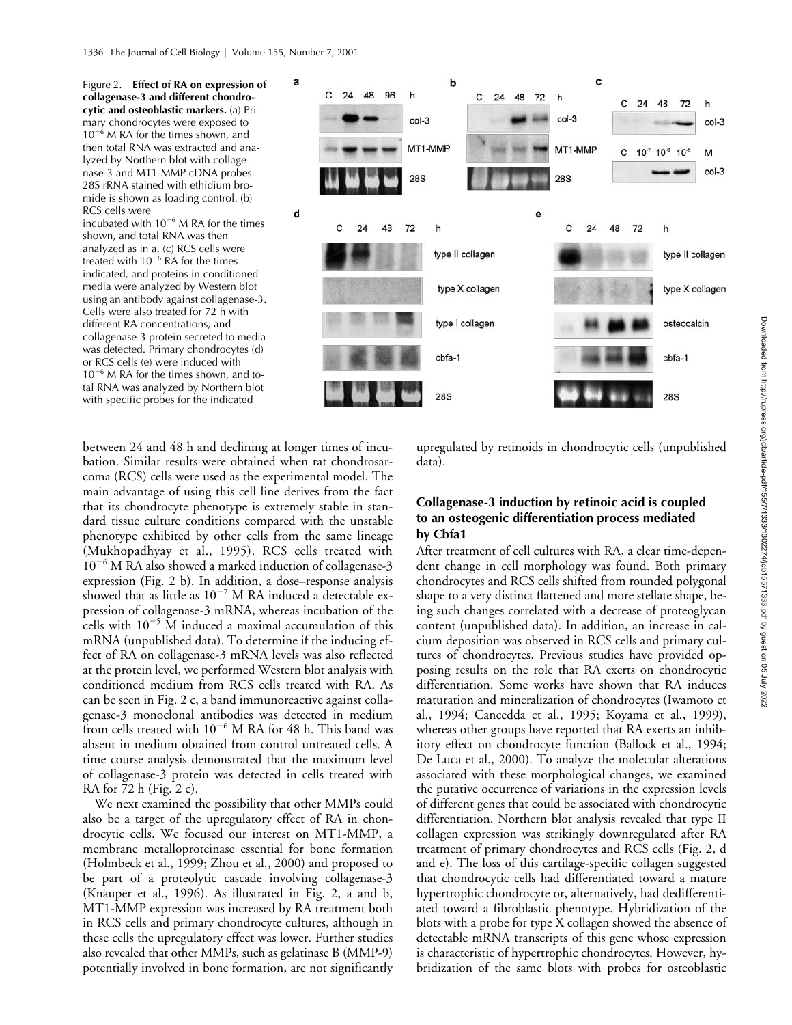

between 24 and 48 h and declining at longer times of incubation. Similar results were obtained when rat chondrosarcoma (RCS) cells were used as the experimental model. The main advantage of using this cell line derives from the fact that its chondrocyte phenotype is extremely stable in standard tissue culture conditions compared with the unstable phenotype exhibited by other cells from the same lineage (Mukhopadhyay et al., 1995). RCS cells treated with 10<sup>-6</sup> M RA also showed a marked induction of collagenase-3 expression (Fig. 2 b). In addition, a dose–response analysis showed that as little as  $10^{-7}$  M RA induced a detectable expression of collagenase-3 mRNA, whereas incubation of the cells with  $10^{-5}$  M induced a maximal accumulation of this mRNA (unpublished data). To determine if the inducing effect of RA on collagenase-3 mRNA levels was also reflected at the protein level, we performed Western blot analysis with conditioned medium from RCS cells treated with RA. As can be seen in Fig. 2 c, a band immunoreactive against collagenase-3 monoclonal antibodies was detected in medium from cells treated with  $10^{-6}$  M RA for 48 h. This band was absent in medium obtained from control untreated cells. A time course analysis demonstrated that the maximum level of collagenase-3 protein was detected in cells treated with RA for 72 h (Fig. 2 c).

We next examined the possibility that other MMPs could also be a target of the upregulatory effect of RA in chondrocytic cells. We focused our interest on MT1-MMP, a membrane metalloproteinase essential for bone formation (Holmbeck et al., 1999; Zhou et al., 2000) and proposed to be part of a proteolytic cascade involving collagenase-3 (Knäuper et al., 1996). As illustrated in Fig. 2, a and b, MT1-MMP expression was increased by RA treatment both in RCS cells and primary chondrocyte cultures, although in these cells the upregulatory effect was lower. Further studies also revealed that other MMPs, such as gelatinase B (MMP-9) potentially involved in bone formation, are not significantly

upregulated by retinoids in chondrocytic cells (unpublished data).

## **Collagenase-3 induction by retinoic acid is coupled to an osteogenic differentiation process mediated by Cbfa1**

After treatment of cell cultures with RA, a clear time-dependent change in cell morphology was found. Both primary chondrocytes and RCS cells shifted from rounded polygonal shape to a very distinct flattened and more stellate shape, being such changes correlated with a decrease of proteoglycan content (unpublished data). In addition, an increase in calcium deposition was observed in RCS cells and primary cultures of chondrocytes. Previous studies have provided opposing results on the role that RA exerts on chondrocytic differentiation. Some works have shown that RA induces maturation and mineralization of chondrocytes (Iwamoto et al., 1994; Cancedda et al., 1995; Koyama et al., 1999), whereas other groups have reported that RA exerts an inhibitory effect on chondrocyte function (Ballock et al., 1994; De Luca et al., 2000). To analyze the molecular alterations associated with these morphological changes, we examined the putative occurrence of variations in the expression levels of different genes that could be associated with chondrocytic differentiation. Northern blot analysis revealed that type II collagen expression was strikingly downregulated after RA treatment of primary chondrocytes and RCS cells (Fig. 2, d and e). The loss of this cartilage-specific collagen suggested that chondrocytic cells had differentiated toward a mature hypertrophic chondrocyte or, alternatively, had dedifferentiated toward a fibroblastic phenotype. Hybridization of the blots with a probe for type X collagen showed the absence of detectable mRNA transcripts of this gene whose expression is characteristic of hypertrophic chondrocytes. However, hybridization of the same blots with probes for osteoblastic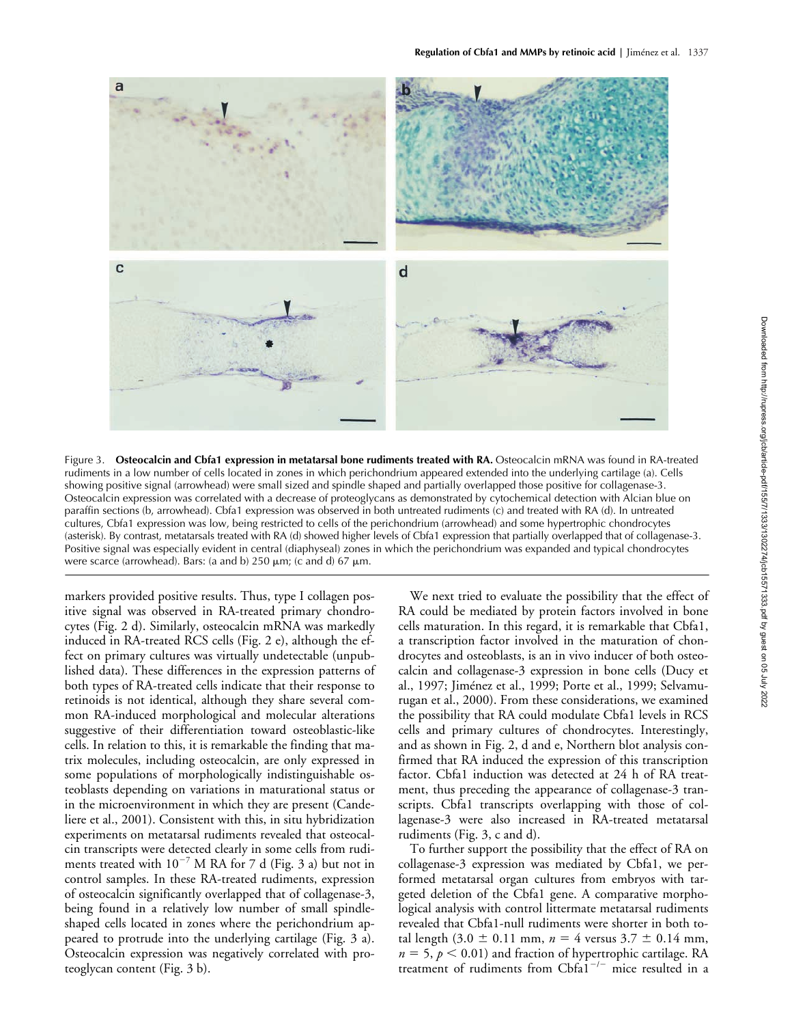

Figure 3. **Osteocalcin and Cbfa1 expression in metatarsal bone rudiments treated with RA.** Osteocalcin mRNA was found in RA-treated rudiments in a low number of cells located in zones in which perichondrium appeared extended into the underlying cartilage (a). Cells showing positive signal (arrowhead) were small sized and spindle shaped and partially overlapped those positive for collagenase-3. Osteocalcin expression was correlated with a decrease of proteoglycans as demonstrated by cytochemical detection with Alcian blue on paraffin sections (b, arrowhead). Cbfa1 expression was observed in both untreated rudiments (c) and treated with RA (d). In untreated cultures, Cbfa1 expression was low, being restricted to cells of the perichondrium (arrowhead) and some hypertrophic chondrocytes (asterisk). By contrast, metatarsals treated with RA (d) showed higher levels of Cbfa1 expression that partially overlapped that of collagenase-3. Positive signal was especially evident in central (diaphyseal) zones in which the perichondrium was expanded and typical chondrocytes were scarce (arrowhead). Bars: (a and b)  $250 \mu m$ ; (c and d)  $67 \mu m$ .

markers provided positive results. Thus, type I collagen positive signal was observed in RA-treated primary chondrocytes (Fig. 2 d). Similarly, osteocalcin mRNA was markedly induced in RA-treated RCS cells (Fig. 2 e), although the effect on primary cultures was virtually undetectable (unpublished data). These differences in the expression patterns of both types of RA-treated cells indicate that their response to retinoids is not identical, although they share several common RA-induced morphological and molecular alterations suggestive of their differentiation toward osteoblastic-like cells. In relation to this, it is remarkable the finding that matrix molecules, including osteocalcin, are only expressed in some populations of morphologically indistinguishable osteoblasts depending on variations in maturational status or in the microenvironment in which they are present (Candeliere et al., 2001). Consistent with this, in situ hybridization experiments on metatarsal rudiments revealed that osteocalcin transcripts were detected clearly in some cells from rudiments treated with  $10^{-7}$  M RA for 7 d (Fig. 3 a) but not in control samples. In these RA-treated rudiments, expression of osteocalcin significantly overlapped that of collagenase-3, being found in a relatively low number of small spindleshaped cells located in zones where the perichondrium appeared to protrude into the underlying cartilage (Fig. 3 a). Osteocalcin expression was negatively correlated with proteoglycan content (Fig. 3 b).

We next tried to evaluate the possibility that the effect of RA could be mediated by protein factors involved in bone cells maturation. In this regard, it is remarkable that Cbfa1, a transcription factor involved in the maturation of chondrocytes and osteoblasts, is an in vivo inducer of both osteocalcin and collagenase-3 expression in bone cells (Ducy et al., 1997; Jiménez et al., 1999; Porte et al., 1999; Selvamurugan et al., 2000). From these considerations, we examined the possibility that RA could modulate Cbfa1 levels in RCS cells and primary cultures of chondrocytes. Interestingly, and as shown in Fig. 2, d and e, Northern blot analysis confirmed that RA induced the expression of this transcription factor. Cbfa1 induction was detected at 24 h of RA treatment, thus preceding the appearance of collagenase-3 transcripts. Cbfa1 transcripts overlapping with those of collagenase-3 were also increased in RA-treated metatarsal rudiments (Fig. 3, c and d).

To further support the possibility that the effect of RA on collagenase-3 expression was mediated by Cbfa1, we performed metatarsal organ cultures from embryos with targeted deletion of the Cbfa1 gene. A comparative morphological analysis with control littermate metatarsal rudiments revealed that Cbfa1-null rudiments were shorter in both total length  $(3.0 \pm 0.11 \text{ mm}, n = 4 \text{ versus } 3.7 \pm 0.14 \text{ mm},$  $n = 5$ ,  $p < 0.01$ ) and fraction of hypertrophic cartilage. RA treatment of rudiments from  $Cbf^{1/-}$  mice resulted in a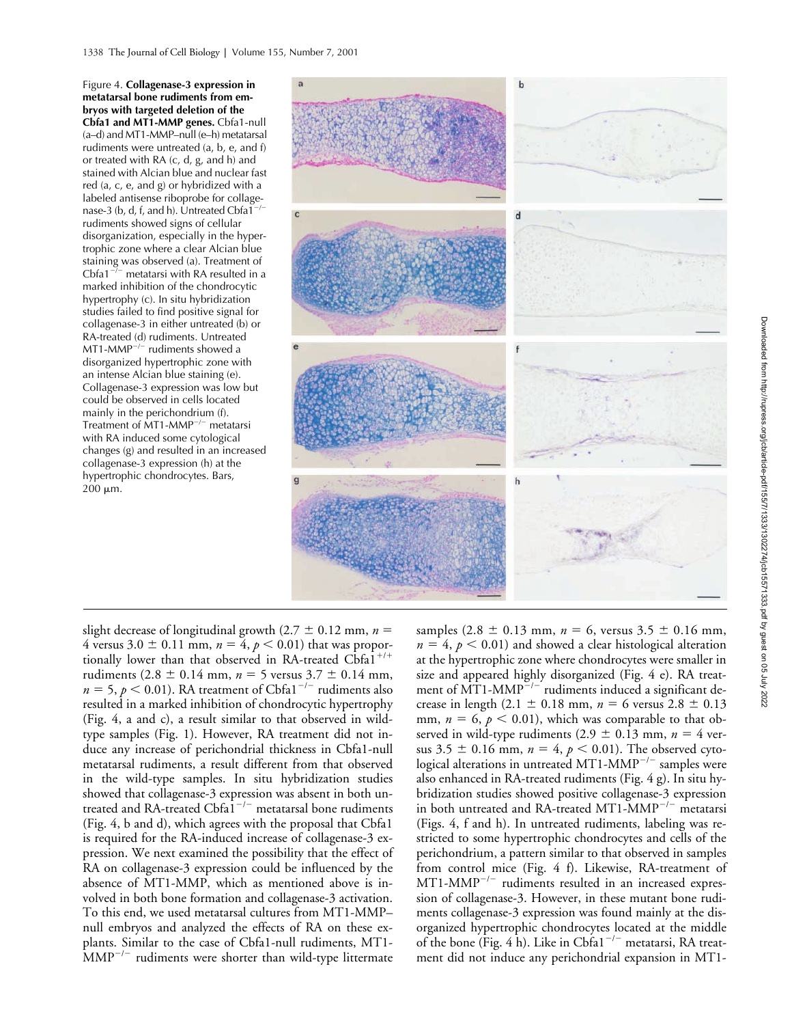Figure 4. **Collagenase-3 expression in metatarsal bone rudiments from embryos with targeted deletion of the Cbfa1 and MT1-MMP genes.** Cbfa1-null (a–d) and MT1-MMP–null (e–h) metatarsal rudiments were untreated (a, b, e, and f) or treated with RA (c, d, g, and h) and stained with Alcian blue and nuclear fast red (a, c, e, and g) or hybridized with a labeled antisense riboprobe for collagenase-3 (b, d, f, and h). Untreated Cbfa1<sup>-</sup> rudiments showed signs of cellular disorganization, especially in the hypertrophic zone where a clear Alcian blue staining was observed (a). Treatment of Cbfa1<sup>-/-</sup> metatarsi with RA resulted in a marked inhibition of the chondrocytic hypertrophy (c). In situ hybridization studies failed to find positive signal for collagenase-3 in either untreated (b) or RA-treated (d) rudiments. Untreated  $MT1-MMP^{-/-}$  rudiments showed a disorganized hypertrophic zone with an intense Alcian blue staining (e). Collagenase-3 expression was low but could be observed in cells located mainly in the perichondrium (f). Treatment of MT1-MMP $^{-/-}$  metatarsi with RA induced some cytological changes (g) and resulted in an increased collagenase-3 expression (h) at the hypertrophic chondrocytes. Bars,  $200 \mu m$ .



slight decrease of longitudinal growth ( $2.7 \pm 0.12$  mm,  $n =$ 4 versus  $3.0 \pm 0.11$  mm,  $n = 4$ ,  $p < 0.01$ ) that was proportionally lower than that observed in RA-treated Cbfa1<sup>+/+</sup> rudiments  $(2.8 \pm 0.14 \text{ mm}, n = 5 \text{ versus } 3.7 \pm 0.14 \text{ mm},$  $n = 5$ ,  $p < 0.01$ ). RA treatment of Cbfa1<sup>-/-</sup> rudiments also resulted in a marked inhibition of chondrocytic hypertrophy (Fig. 4, a and c), a result similar to that observed in wildtype samples (Fig. 1). However, RA treatment did not induce any increase of perichondrial thickness in Cbfa1-null metatarsal rudiments, a result different from that observed in the wild-type samples. In situ hybridization studies showed that collagenase-3 expression was absent in both untreated and RA-treated Cbfa $1^{-/-}$  metatarsal bone rudiments (Fig. 4, b and d), which agrees with the proposal that Cbfa1 is required for the RA-induced increase of collagenase-3 expression. We next examined the possibility that the effect of RA on collagenase-3 expression could be influenced by the absence of MT1-MMP, which as mentioned above is involved in both bone formation and collagenase-3 activation. To this end, we used metatarsal cultures from MT1-MMP– null embryos and analyzed the effects of RA on these explants. Similar to the case of Cbfa1-null rudiments, MT1-  $\text{MMP}^{-/-}$  rudiments were shorter than wild-type littermate

samples  $(2.8 \pm 0.13 \text{ mm}, n = 6$ , versus  $3.5 \pm 0.16 \text{ mm}$ ,  $n = 4$ ,  $p < 0.01$ ) and showed a clear histological alteration at the hypertrophic zone where chondrocytes were smaller in size and appeared highly disorganized (Fig. 4 e). RA treatment of  $\widehat{MT1-MMP}^{-/-}$  rudiments induced a significant decrease in length (2.1  $\pm$  0.18 mm,  $n = 6$  versus 2.8  $\pm$  0.13 mm,  $n = 6$ ,  $p < 0.01$ ), which was comparable to that observed in wild-type rudiments  $(2.9 \pm 0.13 \text{ mm}, n = 4 \text{ ver-}$ sus 3.5  $\pm$  0.16 mm,  $n = 4$ ,  $p < 0.01$ ). The observed cytological alterations in untreated MT1-MMP<sup>-/-</sup> samples were also enhanced in RA-treated rudiments (Fig. 4 g). In situ hybridization studies showed positive collagenase-3 expression in both untreated and RA-treated MT1- $MMP^{-/-}$  metatarsi (Figs. 4, f and h). In untreated rudiments, labeling was restricted to some hypertrophic chondrocytes and cells of the perichondrium, a pattern similar to that observed in samples from control mice (Fig. 4 f). Likewise, RA-treatment of  $MT1-MMP^{-/-}$  rudiments resulted in an increased expression of collagenase-3. However, in these mutant bone rudiments collagenase-3 expression was found mainly at the disorganized hypertrophic chondrocytes located at the middle of the bone (Fig. 4 h). Like in Cbfa $1^{-/-}$  metatarsi, RA treatment did not induce any perichondrial expansion in MT1-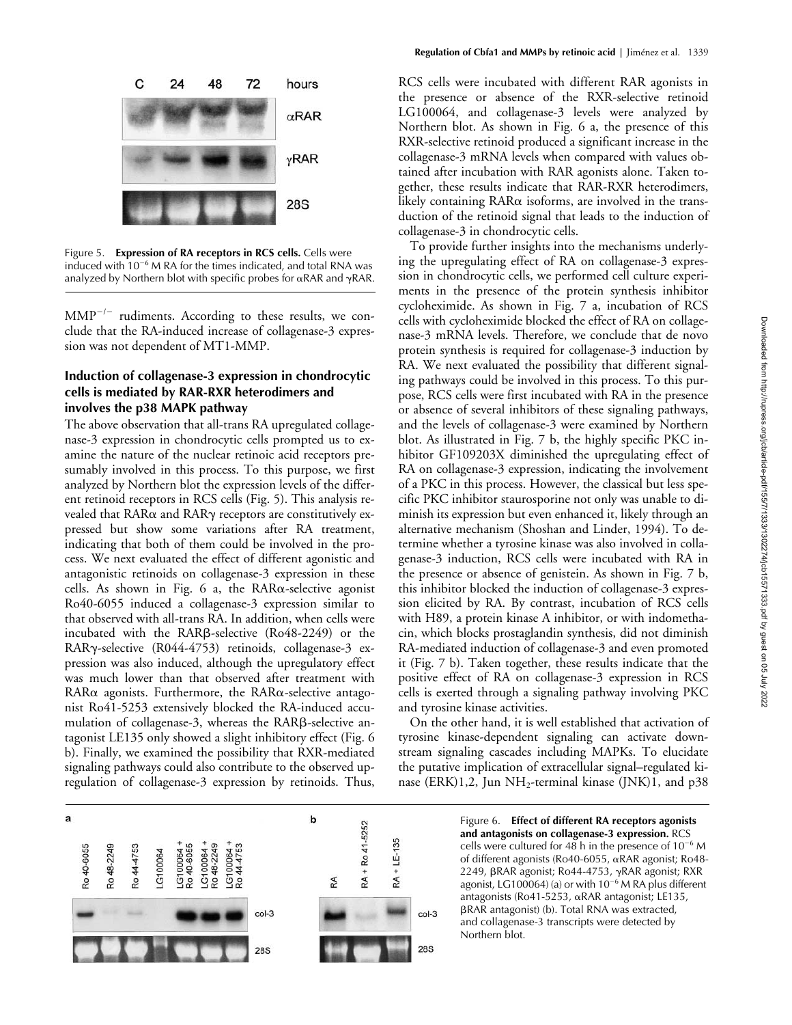

Figure 5. **Expression of RA receptors in RCS cells.** Cells were induced with  $10^{-6}$  M RA for the times indicated, and total RNA was analyzed by Northern blot with specific probes for  $\alpha$ RAR and  $\gamma$ RAR.

 $\text{MMP}^{-/-}$  rudiments. According to these results, we conclude that the RA-induced increase of collagenase-3 expression was not dependent of MT1-MMP.

# **Induction of collagenase-3 expression in chondrocytic cells is mediated by RAR-RXR heterodimers and involves the p38 MAPK pathway**

The above observation that all-trans RA upregulated collagenase-3 expression in chondrocytic cells prompted us to examine the nature of the nuclear retinoic acid receptors presumably involved in this process. To this purpose, we first analyzed by Northern blot the expression levels of the different retinoid receptors in RCS cells (Fig. 5). This analysis revealed that  $\mathsf{RAR}\alpha$  and  $\mathsf{RAR}\gamma$  receptors are constitutively expressed but show some variations after RA treatment, indicating that both of them could be involved in the process. We next evaluated the effect of different agonistic and antagonistic retinoids on collagenase-3 expression in these cells. As shown in Fig. 6 a, the RAR $\alpha$ -selective agonist Ro40-6055 induced a collagenase-3 expression similar to that observed with all-trans RA. In addition, when cells were incubated with the RARß-selective (Ro48-2249) or the RAR -selective (R044-4753) retinoids, collagenase-3 expression was also induced, although the upregulatory effect was much lower than that observed after treatment with  $RAR\alpha$  agonists. Furthermore, the  $RAR\alpha$ -selective antagonist Ro41-5253 extensively blocked the RA-induced accumulation of collagenase-3, whereas the RARß-selective antagonist LE135 only showed a slight inhibitory effect (Fig. 6 b). Finally, we examined the possibility that RXR-mediated signaling pathways could also contribute to the observed upregulation of collagenase-3 expression by retinoids. Thus,

RCS cells were incubated with different RAR agonists in the presence or absence of the RXR-selective retinoid LG100064, and collagenase-3 levels were analyzed by Northern blot. As shown in Fig. 6 a, the presence of this RXR-selective retinoid produced a significant increase in the collagenase-3 mRNA levels when compared with values obtained after incubation with RAR agonists alone. Taken together, these results indicate that RAR-RXR heterodimers, likely containing  $RAR\alpha$  isoforms, are involved in the transduction of the retinoid signal that leads to the induction of collagenase-3 in chondrocytic cells.

To provide further insights into the mechanisms underlying the upregulating effect of RA on collagenase-3 expression in chondrocytic cells, we performed cell culture experiments in the presence of the protein synthesis inhibitor cycloheximide. As shown in Fig. 7 a, incubation of RCS cells with cycloheximide blocked the effect of RA on collagenase-3 mRNA levels. Therefore, we conclude that de novo protein synthesis is required for collagenase-3 induction by RA. We next evaluated the possibility that different signaling pathways could be involved in this process. To this purpose, RCS cells were first incubated with RA in the presence or absence of several inhibitors of these signaling pathways, and the levels of collagenase-3 were examined by Northern blot. As illustrated in Fig. 7 b, the highly specific PKC inhibitor GF109203X diminished the upregulating effect of RA on collagenase-3 expression, indicating the involvement of a PKC in this process. However, the classical but less specific PKC inhibitor staurosporine not only was unable to diminish its expression but even enhanced it, likely through an alternative mechanism (Shoshan and Linder, 1994). To determine whether a tyrosine kinase was also involved in collagenase-3 induction, RCS cells were incubated with RA in the presence or absence of genistein. As shown in Fig. 7 b, this inhibitor blocked the induction of collagenase-3 expression elicited by RA. By contrast, incubation of RCS cells with H89, a protein kinase A inhibitor, or with indomethacin, which blocks prostaglandin synthesis, did not diminish RA-mediated induction of collagenase-3 and even promoted it (Fig. 7 b). Taken together, these results indicate that the positive effect of RA on collagenase-3 expression in RCS cells is exerted through a signaling pathway involving PKC and tyrosine kinase activities.

On the other hand, it is well established that activation of tyrosine kinase-dependent signaling can activate downstream signaling cascades including MAPKs. To elucidate the putative implication of extracellular signal–regulated kinase (ERK)1,2, Jun  $NH_2$ -terminal kinase (JNK)1, and p38



Figure 6. **Effect of different RA receptors agonists and antagonists on collagenase-3 expression.** RCS cells were cultured for 48 h in the presence of  $10^{-6}$  M of different agonists (Ro40-6055, αRAR agonist; Ro48-2249, βRAR agonist; Ro44-4753, γRAR agonist; RXR agonist, LG100064) (a) or with  $10^{-6}$  M RA plus different antagonists (Ro41-5253,  $\alpha$ RAR antagonist; LE135, βRAR antagonist) (b). Total RNA was extracted, and collagenase-3 transcripts were detected by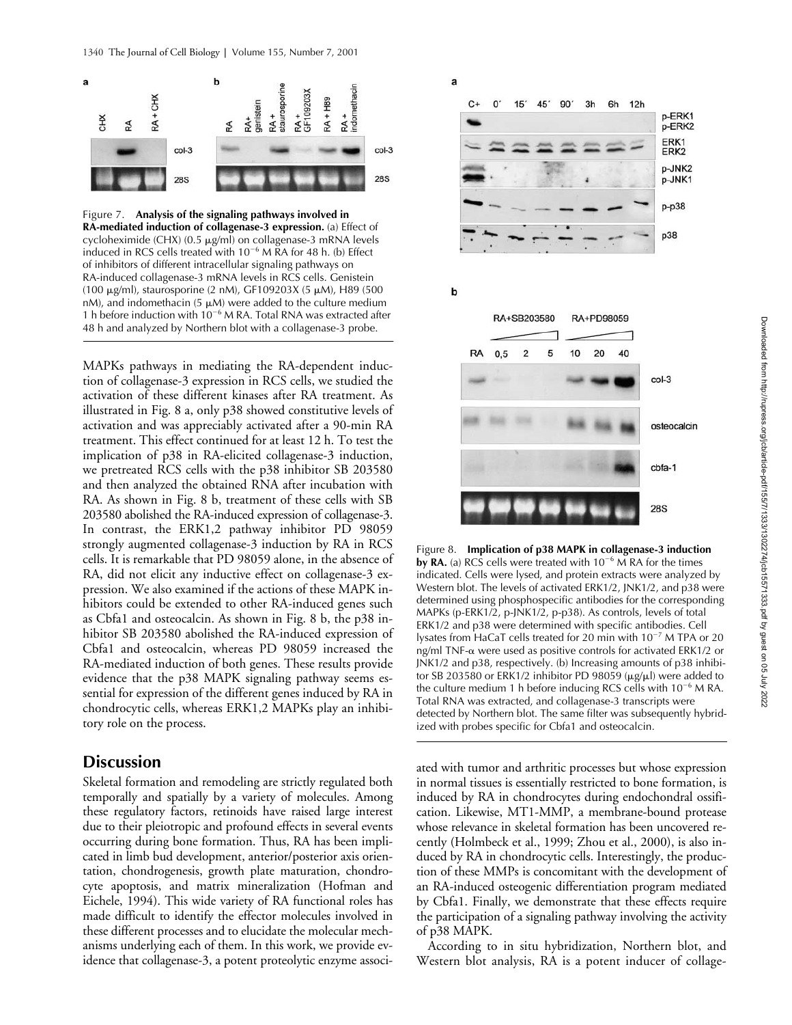

Figure 7. **Analysis of the signaling pathways involved in RA-mediated induction of collagenase-3 expression.** (a) Effect of cycloheximide (CHX)  $(0.5 \mu g/ml)$  on collagenase-3 mRNA levels induced in RCS cells treated with  $10^{-6}$  M RA for 48 h. (b) Effect of inhibitors of different intracellular signaling pathways on RA-induced collagenase-3 mRNA levels in RCS cells. Genistein (100  $\mu$ g/ml), staurosporine (2 nM), GF109203X (5  $\mu$ M), H89 (500 nM), and indomethacin (5  $\mu$ M) were added to the culture medium 1 h before induction with  $10^{-6}$  M RA. Total RNA was extracted after 48 h and analyzed by Northern blot with a collagenase-3 probe.

MAPKs pathways in mediating the RA-dependent induction of collagenase-3 expression in RCS cells, we studied the activation of these different kinases after RA treatment. As illustrated in Fig. 8 a, only p38 showed constitutive levels of activation and was appreciably activated after a 90-min RA treatment. This effect continued for at least 12 h. To test the implication of p38 in RA-elicited collagenase-3 induction, we pretreated RCS cells with the p38 inhibitor SB 203580 and then analyzed the obtained RNA after incubation with RA. As shown in Fig. 8 b, treatment of these cells with SB 203580 abolished the RA-induced expression of collagenase-3. In contrast, the ERK1,2 pathway inhibitor PD 98059 strongly augmented collagenase-3 induction by RA in RCS cells. It is remarkable that PD 98059 alone, in the absence of RA, did not elicit any inductive effect on collagenase-3 expression. We also examined if the actions of these MAPK inhibitors could be extended to other RA-induced genes such as Cbfa1 and osteocalcin. As shown in Fig. 8 b, the p38 inhibitor SB 203580 abolished the RA-induced expression of Cbfa1 and osteocalcin, whereas PD 98059 increased the RA-mediated induction of both genes. These results provide evidence that the p38 MAPK signaling pathway seems essential for expression of the different genes induced by RA in chondrocytic cells, whereas ERK1,2 MAPKs play an inhibitory role on the process.

# **Discussion**

Skeletal formation and remodeling are strictly regulated both temporally and spatially by a variety of molecules. Among these regulatory factors, retinoids have raised large interest due to their pleiotropic and profound effects in several events occurring during bone formation. Thus, RA has been implicated in limb bud development, anterior/posterior axis orientation, chondrogenesis, growth plate maturation, chondrocyte apoptosis, and matrix mineralization (Hofman and Eichele, 1994). This wide variety of RA functional roles has made difficult to identify the effector molecules involved in these different processes and to elucidate the molecular mechanisms underlying each of them. In this work, we provide evidence that collagenase-3, a potent proteolytic enzyme associ-



Figure 8. **Implication of p38 MAPK in collagenase-3 induction**  by RA. (a) RCS cells were treated with  $10^{-6}$  M RA for the times indicated. Cells were lysed, and protein extracts were analyzed by Western blot. The levels of activated ERK1/2, JNK1/2, and p38 were determined using phosphospecific antibodies for the corresponding MAPKs (p-ERK1/2, p-JNK1/2, p-p38). As controls, levels of total ERK1/2 and p38 were determined with specific antibodies. Cell lysates from HaCaT cells treated for 20 min with  $10^{-7}$  M TPA or 20 ng/ml TNF- $\alpha$  were used as positive controls for activated ERK1/2 or JNK1/2 and p38, respectively. (b) Increasing amounts of p38 inhibitor SB 203580 or ERK1/2 inhibitor PD 98059 ( $\mu$ g/ $\mu$ l) were added to the culture medium 1 h before inducing RCS cells with  $10^{-6}$  M RA. Total RNA was extracted, and collagenase-3 transcripts were detected by Northern blot. The same filter was subsequently hybridized with probes specific for Cbfa1 and osteocalcin.

ated with tumor and arthritic processes but whose expression in normal tissues is essentially restricted to bone formation, is induced by RA in chondrocytes during endochondral ossification. Likewise, MT1-MMP, a membrane-bound protease whose relevance in skeletal formation has been uncovered recently (Holmbeck et al., 1999; Zhou et al., 2000), is also induced by RA in chondrocytic cells. Interestingly, the production of these MMPs is concomitant with the development of an RA-induced osteogenic differentiation program mediated by Cbfa1. Finally, we demonstrate that these effects require the participation of a signaling pathway involving the activity of p38 MAPK.

According to in situ hybridization, Northern blot, and Western blot analysis, RA is a potent inducer of collage-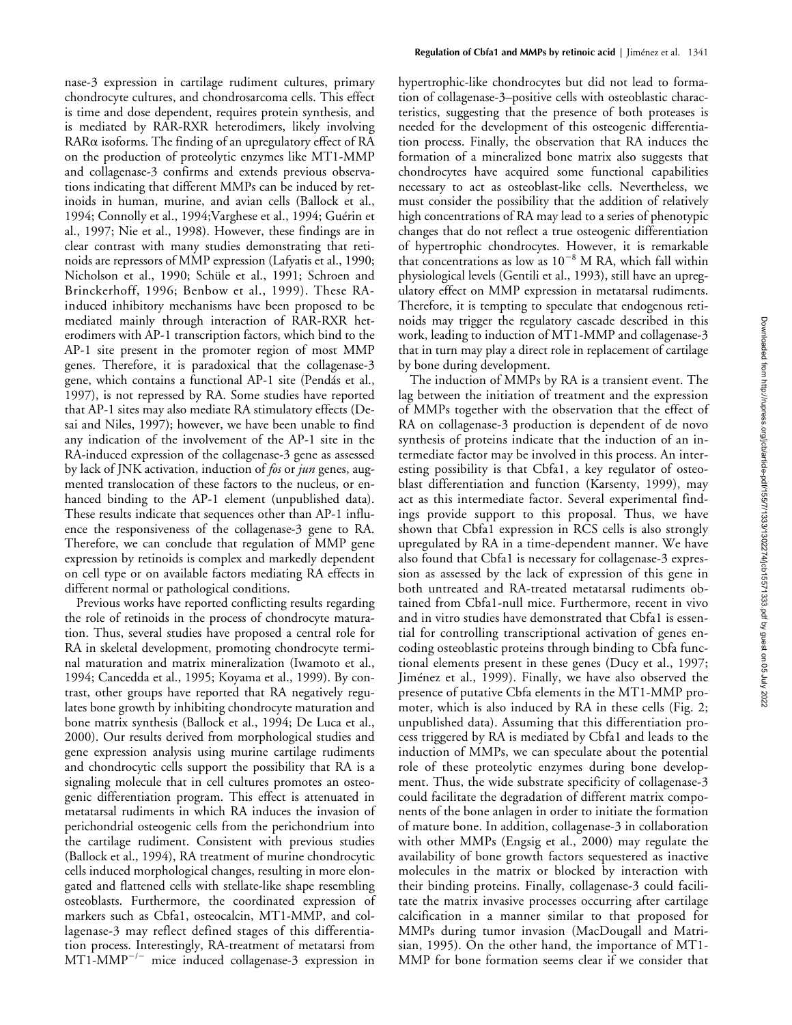nase-3 expression in cartilage rudiment cultures, primary chondrocyte cultures, and chondrosarcoma cells. This effect is time and dose dependent, requires protein synthesis, and is mediated by RAR-RXR heterodimers, likely involving  $RAR\alpha$  isoforms. The finding of an upregulatory effect of  $RA$ on the production of proteolytic enzymes like MT1-MMP and collagenase-3 confirms and extends previous observations indicating that different MMPs can be induced by retinoids in human, murine, and avian cells (Ballock et al., 1994; Connolly et al., 1994;Varghese et al., 1994; Guérin et al., 1997; Nie et al., 1998). However, these findings are in clear contrast with many studies demonstrating that retinoids are repressors of MMP expression (Lafyatis et al., 1990; Nicholson et al., 1990; Schüle et al., 1991; Schroen and Brinckerhoff, 1996; Benbow et al., 1999). These RAinduced inhibitory mechanisms have been proposed to be mediated mainly through interaction of RAR-RXR heterodimers with AP-1 transcription factors, which bind to the AP-1 site present in the promoter region of most MMP genes. Therefore, it is paradoxical that the collagenase-3 gene, which contains a functional AP-1 site (Pendás et al., 1997), is not repressed by RA. Some studies have reported that AP-1 sites may also mediate RA stimulatory effects (Desai and Niles, 1997); however, we have been unable to find any indication of the involvement of the AP-1 site in the RA-induced expression of the collagenase-3 gene as assessed by lack of JNK activation, induction of *fos* or *jun* genes, augmented translocation of these factors to the nucleus, or enhanced binding to the AP-1 element (unpublished data). These results indicate that sequences other than AP-1 influence the responsiveness of the collagenase-3 gene to RA. Therefore, we can conclude that regulation of MMP gene expression by retinoids is complex and markedly dependent on cell type or on available factors mediating RA effects in different normal or pathological conditions.

Previous works have reported conflicting results regarding the role of retinoids in the process of chondrocyte maturation. Thus, several studies have proposed a central role for RA in skeletal development, promoting chondrocyte terminal maturation and matrix mineralization (Iwamoto et al., 1994; Cancedda et al., 1995; Koyama et al., 1999). By contrast, other groups have reported that RA negatively regulates bone growth by inhibiting chondrocyte maturation and bone matrix synthesis (Ballock et al., 1994; De Luca et al., 2000). Our results derived from morphological studies and gene expression analysis using murine cartilage rudiments and chondrocytic cells support the possibility that RA is a signaling molecule that in cell cultures promotes an osteogenic differentiation program. This effect is attenuated in metatarsal rudiments in which RA induces the invasion of perichondrial osteogenic cells from the perichondrium into the cartilage rudiment. Consistent with previous studies (Ballock et al., 1994), RA treatment of murine chondrocytic cells induced morphological changes, resulting in more elongated and flattened cells with stellate-like shape resembling osteoblasts. Furthermore, the coordinated expression of markers such as Cbfa1, osteocalcin, MT1-MMP, and collagenase-3 may reflect defined stages of this differentiation process. Interestingly, RA-treatment of metatarsi from  $MT1-MMP^{-/-}$  mice induced collagenase-3 expression in hypertrophic-like chondrocytes but did not lead to formation of collagenase-3–positive cells with osteoblastic characteristics, suggesting that the presence of both proteases is needed for the development of this osteogenic differentiation process. Finally, the observation that RA induces the formation of a mineralized bone matrix also suggests that chondrocytes have acquired some functional capabilities necessary to act as osteoblast-like cells. Nevertheless, we must consider the possibility that the addition of relatively high concentrations of RA may lead to a series of phenotypic changes that do not reflect a true osteogenic differentiation of hypertrophic chondrocytes. However, it is remarkable that concentrations as low as  $10^{-8}$  M RA, which fall within physiological levels (Gentili et al., 1993), still have an upregulatory effect on MMP expression in metatarsal rudiments. Therefore, it is tempting to speculate that endogenous retinoids may trigger the regulatory cascade described in this work, leading to induction of MT1-MMP and collagenase-3 that in turn may play a direct role in replacement of cartilage by bone during development.

The induction of MMPs by RA is a transient event. The lag between the initiation of treatment and the expression of MMPs together with the observation that the effect of RA on collagenase-3 production is dependent of de novo synthesis of proteins indicate that the induction of an intermediate factor may be involved in this process. An interesting possibility is that Cbfa1, a key regulator of osteoblast differentiation and function (Karsenty, 1999), may act as this intermediate factor. Several experimental findings provide support to this proposal. Thus, we have shown that Cbfa1 expression in RCS cells is also strongly upregulated by RA in a time-dependent manner. We have also found that Cbfa1 is necessary for collagenase-3 expression as assessed by the lack of expression of this gene in both untreated and RA-treated metatarsal rudiments obtained from Cbfa1-null mice. Furthermore, recent in vivo and in vitro studies have demonstrated that Cbfa1 is essential for controlling transcriptional activation of genes encoding osteoblastic proteins through binding to Cbfa functional elements present in these genes (Ducy et al., 1997; Jiménez et al., 1999). Finally, we have also observed the presence of putative Cbfa elements in the MT1-MMP promoter, which is also induced by RA in these cells (Fig. 2; unpublished data). Assuming that this differentiation process triggered by RA is mediated by Cbfa1 and leads to the induction of MMPs, we can speculate about the potential role of these proteolytic enzymes during bone development. Thus, the wide substrate specificity of collagenase-3 could facilitate the degradation of different matrix components of the bone anlagen in order to initiate the formation of mature bone. In addition, collagenase-3 in collaboration with other MMPs (Engsig et al., 2000) may regulate the availability of bone growth factors sequestered as inactive molecules in the matrix or blocked by interaction with their binding proteins. Finally, collagenase-3 could facilitate the matrix invasive processes occurring after cartilage calcification in a manner similar to that proposed for MMPs during tumor invasion (MacDougall and Matrisian, 1995). On the other hand, the importance of MT1- MMP for bone formation seems clear if we consider that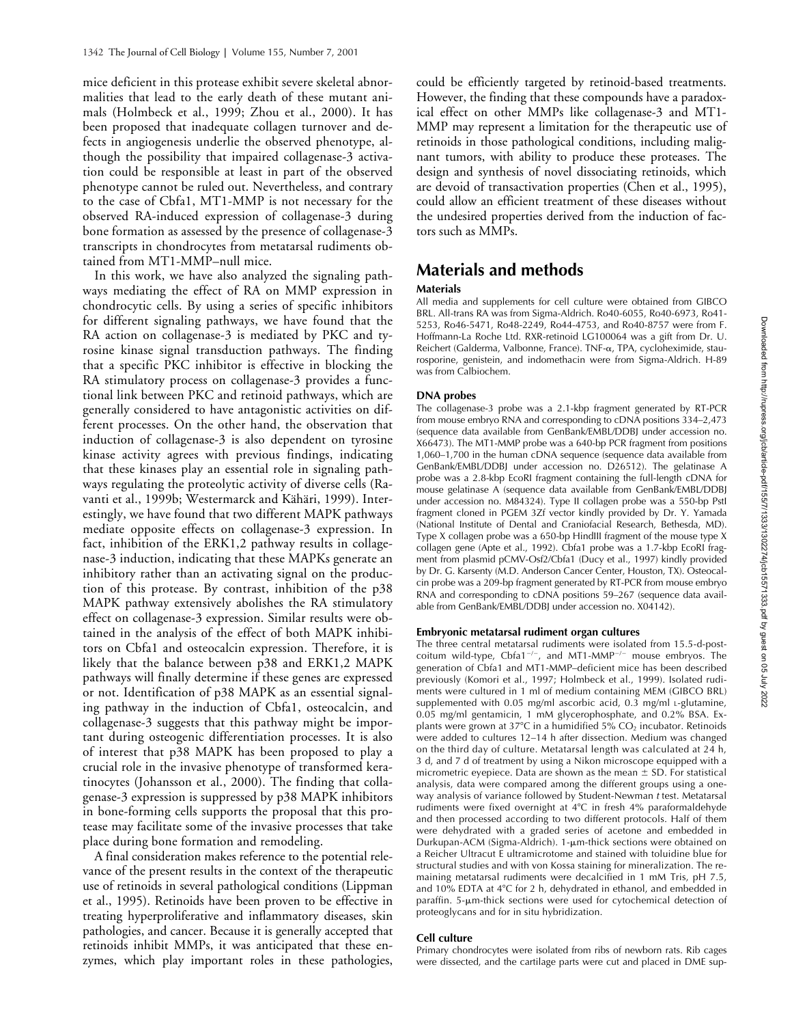mice deficient in this protease exhibit severe skeletal abnormalities that lead to the early death of these mutant animals (Holmbeck et al., 1999; Zhou et al., 2000). It has been proposed that inadequate collagen turnover and defects in angiogenesis underlie the observed phenotype, although the possibility that impaired collagenase-3 activation could be responsible at least in part of the observed phenotype cannot be ruled out. Nevertheless, and contrary to the case of Cbfa1, MT1-MMP is not necessary for the observed RA-induced expression of collagenase-3 during bone formation as assessed by the presence of collagenase-3 transcripts in chondrocytes from metatarsal rudiments obtained from MT1-MMP–null mice.

In this work, we have also analyzed the signaling pathways mediating the effect of RA on MMP expression in chondrocytic cells. By using a series of specific inhibitors for different signaling pathways, we have found that the RA action on collagenase-3 is mediated by PKC and tyrosine kinase signal transduction pathways. The finding that a specific PKC inhibitor is effective in blocking the RA stimulatory process on collagenase-3 provides a functional link between PKC and retinoid pathways, which are generally considered to have antagonistic activities on different processes. On the other hand, the observation that induction of collagenase-3 is also dependent on tyrosine kinase activity agrees with previous findings, indicating that these kinases play an essential role in signaling pathways regulating the proteolytic activity of diverse cells (Ravanti et al., 1999b; Westermarck and Kähäri, 1999). Interestingly, we have found that two different MAPK pathways mediate opposite effects on collagenase-3 expression. In fact, inhibition of the ERK1,2 pathway results in collagenase-3 induction, indicating that these MAPKs generate an inhibitory rather than an activating signal on the production of this protease. By contrast, inhibition of the p38 MAPK pathway extensively abolishes the RA stimulatory effect on collagenase-3 expression. Similar results were obtained in the analysis of the effect of both MAPK inhibitors on Cbfa1 and osteocalcin expression. Therefore, it is likely that the balance between p38 and ERK1,2 MAPK pathways will finally determine if these genes are expressed or not. Identification of p38 MAPK as an essential signaling pathway in the induction of Cbfa1, osteocalcin, and collagenase-3 suggests that this pathway might be important during osteogenic differentiation processes. It is also of interest that p38 MAPK has been proposed to play a crucial role in the invasive phenotype of transformed keratinocytes (Johansson et al., 2000). The finding that collagenase-3 expression is suppressed by p38 MAPK inhibitors in bone-forming cells supports the proposal that this protease may facilitate some of the invasive processes that take place during bone formation and remodeling.

A final consideration makes reference to the potential relevance of the present results in the context of the therapeutic use of retinoids in several pathological conditions (Lippman et al., 1995). Retinoids have been proven to be effective in treating hyperproliferative and inflammatory diseases, skin pathologies, and cancer. Because it is generally accepted that retinoids inhibit MMPs, it was anticipated that these enzymes, which play important roles in these pathologies,

could be efficiently targeted by retinoid-based treatments. However, the finding that these compounds have a paradoxical effect on other MMPs like collagenase-3 and MT1- MMP may represent a limitation for the therapeutic use of retinoids in those pathological conditions, including malignant tumors, with ability to produce these proteases. The design and synthesis of novel dissociating retinoids, which are devoid of transactivation properties (Chen et al., 1995), could allow an efficient treatment of these diseases without the undesired properties derived from the induction of factors such as MMPs.

# **Materials and methods**

## **Materials**

All media and supplements for cell culture were obtained from GIBCO BRL. All-trans RA was from Sigma-Aldrich. Ro40-6055, Ro40-6973, Ro41- 5253, Ro46-5471, Ro48-2249, Ro44-4753, and Ro40-8757 were from F. Hoffmann-La Roche Ltd. RXR-retinoid LG100064 was a gift from Dr. U. Reichert (Galderma, Valbonne, France). TNF-a, TPA, cycloheximide, staurosporine, genistein, and indomethacin were from Sigma-Aldrich. H-89 was from Calbiochem.

## **DNA probes**

The collagenase-3 probe was a 2.1-kbp fragment generated by RT-PCR from mouse embryo RNA and corresponding to cDNA positions 334–2,473 (sequence data available from GenBank/EMBL/DDBJ under accession no. X66473). The MT1-MMP probe was a 640-bp PCR fragment from positions 1,060–1,700 in the human cDNA sequence (sequence data available from GenBank/EMBL/DDBJ under accession no. D26512). The gelatinase A probe was a 2.8-kbp EcoRI fragment containing the full-length cDNA for mouse gelatinase A (sequence data available from GenBank/EMBL/DDBJ under accession no. M84324). Type II collagen probe was a 550-bp PstI fragment cloned in PGEM 3Zf vector kindly provided by Dr. Y. Yamada (National Institute of Dental and Craniofacial Research, Bethesda, MD). Type X collagen probe was a 650-bp HindIII fragment of the mouse type X collagen gene (Apte et al., 1992). Cbfa1 probe was a 1.7-kbp EcoRI fragment from plasmid pCMV-Osf2/Cbfa1 (Ducy et al., 1997) kindly provided by Dr. G. Karsenty (M.D. Anderson Cancer Center, Houston, TX). Osteocalcin probe was a 209-bp fragment generated by RT-PCR from mouse embryo RNA and corresponding to cDNA positions 59–267 (sequence data available from GenBank/EMBL/DDBJ under accession no. X04142).

## **Embryonic metatarsal rudiment organ cultures**

The three central metatarsal rudiments were isolated from 15.5-d-postcoitum wild-type, Cbfa1<sup>-/-</sup>, and MT1-MMP<sup>-/-</sup> mouse embryos. The generation of Cbfa1 and MT1-MMP–deficient mice has been described previously (Komori et al., 1997; Holmbeck et al., 1999). Isolated rudiments were cultured in 1 ml of medium containing MEM (GIBCO BRL) supplemented with 0.05 mg/ml ascorbic acid, 0.3 mg/ml L-glutamine, 0.05 mg/ml gentamicin, 1 mM glycerophosphate, and 0.2% BSA. Explants were grown at 37°C in a humidified 5%  $CO<sub>2</sub>$  incubator. Retinoids were added to cultures 12–14 h after dissection. Medium was changed on the third day of culture. Metatarsal length was calculated at 24 h, 3 d, and 7 d of treatment by using a Nikon microscope equipped with a micrometric eyepiece. Data are shown as the mean  $\pm$  SD. For statistical analysis, data were compared among the different groups using a oneway analysis of variance followed by Student-Newman *t* test. Metatarsal rudiments were fixed overnight at  $4^{\circ}$ C in fresh  $4\%$  paraformaldehyde and then processed according to two different protocols. Half of them were dehydrated with a graded series of acetone and embedded in Durkupan-ACM (Sigma-Aldrich). 1-µm-thick sections were obtained on a Reicher Ultracut E ultramicrotome and stained with toluidine blue for structural studies and with von Kossa staining for mineralization. The remaining metatarsal rudiments were decalcified in 1 mM Tris, pH 7.5, and 10% EDTA at 4°C for 2 h, dehydrated in ethanol, and embedded in paraffin.  $5$ - $\mu$ m-thick sections were used for cytochemical detection of proteoglycans and for in situ hybridization.

## **Cell culture**

Primary chondrocytes were isolated from ribs of newborn rats. Rib cages were dissected, and the cartilage parts were cut and placed in DME sup-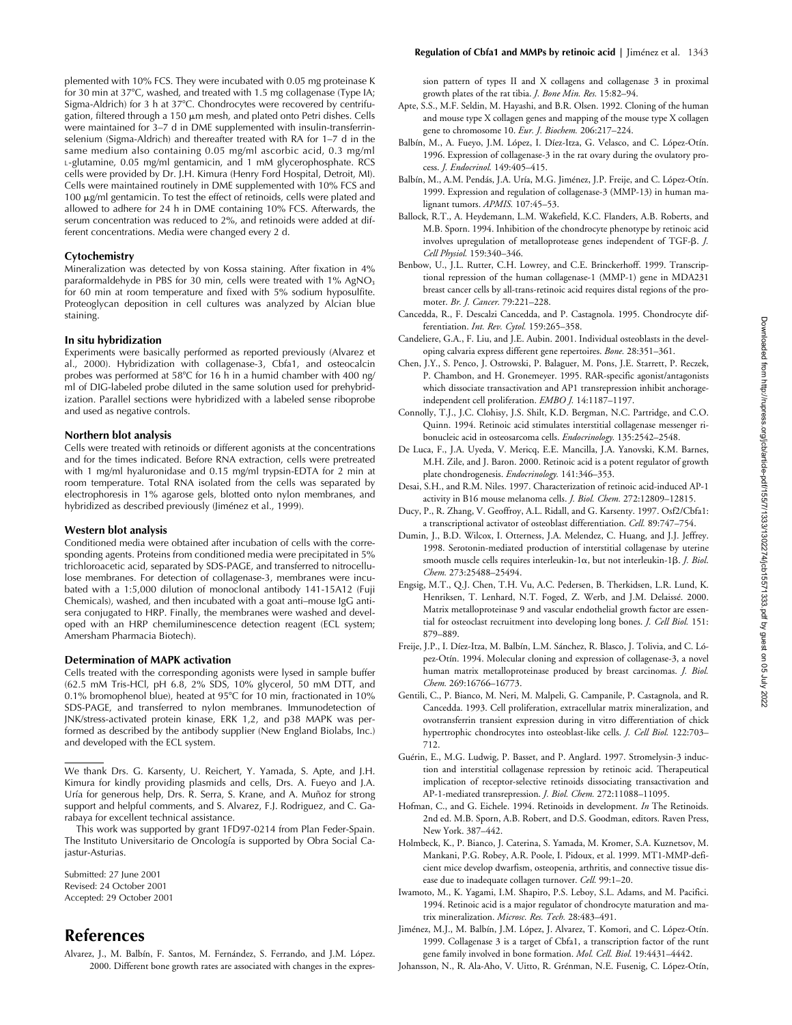plemented with 10% FCS. They were incubated with 0.05 mg proteinase K for 30 min at 37°C, washed, and treated with 1.5 mg collagenase (Type IA; Sigma-Aldrich) for 3 h at 37°C. Chondrocytes were recovered by centrifugation, filtered through a 150  $\mu$ m mesh, and plated onto Petri dishes. Cells were maintained for 3–7 d in DME supplemented with insulin-transferrinselenium (Sigma-Aldrich) and thereafter treated with RA for 1–7 d in the same medium also containing 0.05 mg/ml ascorbic acid, 0.3 mg/ml L-glutamine, 0.05 mg/ml gentamicin, and 1 mM glycerophosphate. RCS cells were provided by Dr. J.H. Kimura (Henry Ford Hospital, Detroit, MI). Cells were maintained routinely in DME supplemented with 10% FCS and  $100 \mu$ g/ml gentamicin. To test the effect of retinoids, cells were plated and allowed to adhere for 24 h in DME containing 10% FCS. Afterwards, the serum concentration was reduced to 2%, and retinoids were added at different concentrations. Media were changed every 2 d.

### **Cytochemistry**

Mineralization was detected by von Kossa staining. After fixation in 4% paraformaldehyde in PBS for 30 min, cells were treated with 1% AgNO<sub>3</sub> for 60 min at room temperature and fixed with 5% sodium hyposulfite. Proteoglycan deposition in cell cultures was analyzed by Alcian blue staining.

## **In situ hybridization**

Experiments were basically performed as reported previously (Alvarez et al., 2000). Hybridization with collagenase-3, Cbfa1, and osteocalcin probes was performed at 58°C for 16 h in a humid chamber with 400 ng/ ml of DIG-labeled probe diluted in the same solution used for prehybridization. Parallel sections were hybridized with a labeled sense riboprobe and used as negative controls.

#### **Northern blot analysis**

Cells were treated with retinoids or different agonists at the concentrations and for the times indicated. Before RNA extraction, cells were pretreated with 1 mg/ml hyaluronidase and 0.15 mg/ml trypsin-EDTA for 2 min at room temperature. Total RNA isolated from the cells was separated by electrophoresis in 1% agarose gels, blotted onto nylon membranes, and hybridized as described previously (Jiménez et al., 1999).

### **Western blot analysis**

Conditioned media were obtained after incubation of cells with the corresponding agents. Proteins from conditioned media were precipitated in 5% trichloroacetic acid, separated by SDS-PAGE, and transferred to nitrocellulose membranes. For detection of collagenase-3, membranes were incubated with a 1:5,000 dilution of monoclonal antibody 141-15A12 (Fuji Chemicals), washed, and then incubated with a goat anti–mouse IgG antisera conjugated to HRP. Finally, the membranes were washed and developed with an HRP chemiluminescence detection reagent (ECL system; Amersham Pharmacia Biotech).

## **Determination of MAPK activation**

Cells treated with the corresponding agonists were lysed in sample buffer (62.5 mM Tris-HCl, pH 6.8, 2% SDS, 10% glycerol, 50 mM DTT, and 0.1% bromophenol blue), heated at 95°C for 10 min, fractionated in 10% SDS-PAGE, and transferred to nylon membranes. Immunodetection of JNK/stress-activated protein kinase, ERK 1,2, and p38 MAPK was performed as described by the antibody supplier (New England Biolabs, Inc.) and developed with the ECL system.

We thank Drs. G. Karsenty, U. Reichert, Y. Yamada, S. Apte, and J.H. Kimura for kindly providing plasmids and cells, Drs. A. Fueyo and J.A. Uría for generous help, Drs. R. Serra, S. Krane, and A. Muñoz for strong support and helpful comments, and S. Alvarez, F.J. Rodriguez, and C. Garabaya for excellent technical assistance.

This work was supported by grant 1FD97-0214 from Plan Feder-Spain. The Instituto Universitario de Oncología is supported by Obra Social Cajastur-Asturias.

Submitted: 27 June 2001 Revised: 24 October 2001 Accepted: 29 October 2001

# **References**

Alvarez, J., M. Balbín, F. Santos, M. Fernández, S. Ferrando, and J.M. López. 2000. Different bone growth rates are associated with changes in the expression pattern of types II and X collagens and collagenase 3 in proximal growth plates of the rat tibia. *J. Bone Min. Res.* 15:82–94.

- Apte, S.S., M.F. Seldin, M. Hayashi, and B.R. Olsen. 1992. Cloning of the human and mouse type X collagen genes and mapping of the mouse type X collagen gene to chromosome 10. *Eur. J. Biochem.* 206:217–224.
- Balbín, M., A. Fueyo, J.M. López, I. Díez-Itza, G. Velasco, and C. López-Otín. 1996. Expression of collagenase-3 in the rat ovary during the ovulatory process. *J. Endocrinol.* 149:405–415.
- Balbín, M., A.M. Pendás, J.A. Uría, M.G. Jiménez, J.P. Freije, and C. López-Otín. 1999. Expression and regulation of collagenase-3 (MMP-13) in human malignant tumors. *APMIS.* 107:45–53.
- Ballock, R.T., A. Heydemann, L.M. Wakefield, K.C. Flanders, A.B. Roberts, and M.B. Sporn. 1994. Inhibition of the chondrocyte phenotype by retinoic acid involves upregulation of metalloprotease genes independent of TGF- $\beta$ . *J. Cell Physiol.* 159:340–346.
- Benbow, U., J.L. Rutter, C.H. Lowrey, and C.E. Brinckerhoff. 1999. Transcriptional repression of the human collagenase-1 (MMP-1) gene in MDA231 breast cancer cells by all-trans-retinoic acid requires distal regions of the promoter. *Br. J. Cancer.* 79:221–228.
- Cancedda, R., F. Descalzi Cancedda, and P. Castagnola. 1995. Chondrocyte differentiation. *Int. Rev. Cytol.* 159:265–358.
- Candeliere, G.A., F. Liu, and J.E. Aubin. 2001. Individual osteoblasts in the developing calvaria express different gene repertoires. *Bone.* 28:351–361.
- Chen, J.Y., S. Penco, J. Ostrowski, P. Balaguer, M. Pons, J.E. Starrett, P. Reczek, P. Chambon, and H. Gronemeyer. 1995. RAR-specific agonist/antagonists which dissociate transactivation and AP1 transrepression inhibit anchorageindependent cell proliferation. *EMBO J.* 14:1187–1197.
- Connolly, T.J., J.C. Clohisy, J.S. Shilt, K.D. Bergman, N.C. Partridge, and C.O. Quinn. 1994. Retinoic acid stimulates interstitial collagenase messenger ribonucleic acid in osteosarcoma cells. *Endocrinology.* 135:2542–2548.
- De Luca, F., J.A. Uyeda, V. Mericq, E.E. Mancilla, J.A. Yanovski, K.M. Barnes, M.H. Zile, and J. Baron. 2000. Retinoic acid is a potent regulator of growth plate chondrogenesis. *Endocrinology.* 141:346–353.
- Desai, S.H., and R.M. Niles. 1997. Characterization of retinoic acid-induced AP-1 activity in B16 mouse melanoma cells. *J. Biol. Chem.* 272:12809–12815.
- Ducy, P., R. Zhang, V. Geoffroy, A.L. Ridall, and G. Karsenty. 1997. Osf2/Cbfa1: a transcriptional activator of osteoblast differentiation. *Cell.* 89:747–754.
- Dumin, J., B.D. Wilcox, I. Otterness, J.A. Melendez, C. Huang, and J.J. Jeffrey. 1998. Serotonin-mediated production of interstitial collagenase by uterine smooth muscle cells requires interleukin-1α, but not interleukin-1β. *J. Biol*. *Chem.* 273:25488–25494.
- Engsig, M.T., Q.J. Chen, T.H. Vu, A.C. Pedersen, B. Therkidsen, L.R. Lund, K. Henriksen, T. Lenhard, N.T. Foged, Z. Werb, and J.M. Delaissé. 2000. Matrix metalloproteinase 9 and vascular endothelial growth factor are essential for osteoclast recruitment into developing long bones. *J. Cell Biol.* 151: 879–889.
- Freije, J.P., I. Díez-Itza, M. Balbín, L.M. Sánchez, R. Blasco, J. Tolivia, and C. López-Otín. 1994. Molecular cloning and expression of collagenase-3, a novel human matrix metalloproteinase produced by breast carcinomas. *J. Biol. Chem.* 269:16766–16773.
- Gentili, C., P. Bianco, M. Neri, M. Malpeli, G. Campanile, P. Castagnola, and R. Cancedda. 1993. Cell proliferation, extracellular matrix mineralization, and ovotransferrin transient expression during in vitro differentiation of chick hypertrophic chondrocytes into osteoblast-like cells. *J. Cell Biol.* 122:703– 712.
- Guérin, E., M.G. Ludwig, P. Basset, and P. Anglard. 1997. Stromelysin-3 induction and interstitial collagenase repression by retinoic acid. Therapeutical implication of receptor-selective retinoids dissociating transactivation and AP-1-mediated transrepression. *J. Biol. Chem.* 272:11088–11095.
- Hofman, C., and G. Eichele. 1994. Retinoids in development. *In* The Retinoids. 2nd ed. M.B. Sporn, A.B. Robert, and D.S. Goodman, editors. Raven Press, New York. 387–442.
- Holmbeck, K., P. Bianco, J. Caterina, S. Yamada, M. Kromer, S.A. Kuznetsov, M. Mankani, P.G. Robey, A.R. Poole, I. Pidoux, et al. 1999. MT1-MMP-deficient mice develop dwarfism, osteopenia, arthritis, and connective tissue disease due to inadequate collagen turnover. *Cell.* 99:1–20.
- Iwamoto, M., K. Yagami, I.M. Shapiro, P.S. Leboy, S.L. Adams, and M. Pacifici. 1994. Retinoic acid is a major regulator of chondrocyte maturation and matrix mineralization. *Microsc. Res. Tech.* 28:483–491.
- Jiménez, M.J., M. Balbín, J.M. López, J. Alvarez, T. Komori, and C. López-Otín. 1999. Collagenase 3 is a target of Cbfa1, a transcription factor of the runt gene family involved in bone formation. *Mol. Cell. Biol.* 19:4431–4442.
- Johansson, N., R. Ala-Aho, V. Uitto, R. Grénman, N.E. Fusenig, C. López-Otín,